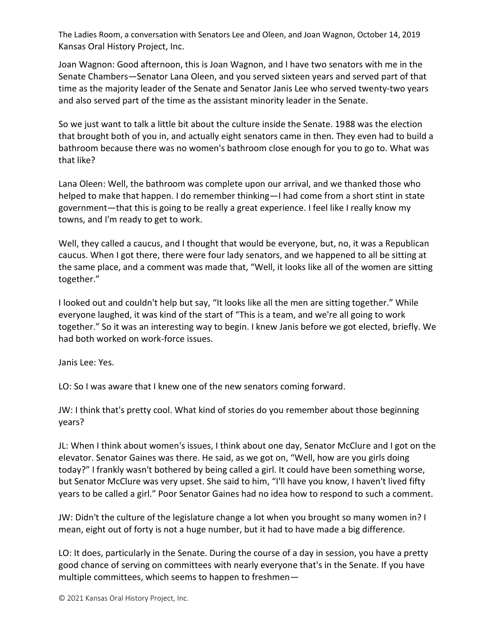The Ladies Room, a conversation with Senators Lee and Oleen, and Joan Wagnon, October 14, 2019 Kansas Oral History Project, Inc.

Joan Wagnon: Good afternoon, this is Joan Wagnon, and I have two senators with me in the Senate Chambers—Senator Lana Oleen, and you served sixteen years and served part of that time as the majority leader of the Senate and Senator Janis Lee who served twenty-two years and also served part of the time as the assistant minority leader in the Senate.

So we just want to talk a little bit about the culture inside the Senate. 1988 was the election that brought both of you in, and actually eight senators came in then. They even had to build a bathroom because there was no women's bathroom close enough for you to go to. What was that like?

Lana Oleen: Well, the bathroom was complete upon our arrival, and we thanked those who helped to make that happen. I do remember thinking—I had come from a short stint in state government—that this is going to be really a great experience. I feel like I really know my towns, and I'm ready to get to work.

Well, they called a caucus, and I thought that would be everyone, but, no, it was a Republican caucus. When I got there, there were four lady senators, and we happened to all be sitting at the same place, and a comment was made that, "Well, it looks like all of the women are sitting together."

I looked out and couldn't help but say, "It looks like all the men are sitting together." While everyone laughed, it was kind of the start of "This is a team, and we're all going to work together." So it was an interesting way to begin. I knew Janis before we got elected, briefly. We had both worked on work-force issues.

Janis Lee: Yes.

LO: So I was aware that I knew one of the new senators coming forward.

JW: I think that's pretty cool. What kind of stories do you remember about those beginning years?

JL: When I think about women's issues, I think about one day, Senator McClure and I got on the elevator. Senator Gaines was there. He said, as we got on, "Well, how are you girls doing today?" I frankly wasn't bothered by being called a girl. It could have been something worse, but Senator McClure was very upset. She said to him, "I'll have you know, I haven't lived fifty years to be called a girl." Poor Senator Gaines had no idea how to respond to such a comment.

JW: Didn't the culture of the legislature change a lot when you brought so many women in? I mean, eight out of forty is not a huge number, but it had to have made a big difference.

LO: It does, particularly in the Senate. During the course of a day in session, you have a pretty good chance of serving on committees with nearly everyone that's in the Senate. If you have multiple committees, which seems to happen to freshmen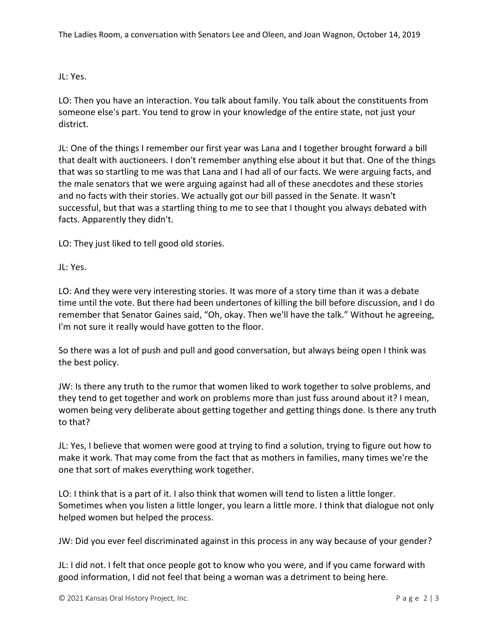JL: Yes.

LO: Then you have an interaction. You talk about family. You talk about the constituents from someone else's part. You tend to grow in your knowledge of the entire state, not just your district.

JL: One of the things I remember our first year was Lana and I together brought forward a bill that dealt with auctioneers. I don't remember anything else about it but that. One of the things that was so startling to me was that Lana and I had all of our facts. We were arguing facts, and the male senators that we were arguing against had all of these anecdotes and these stories and no facts with their stories. We actually got our bill passed in the Senate. It wasn't successful, but that was a startling thing to me to see that I thought you always debated with facts. Apparently they didn't.

LO: They just liked to tell good old stories.

JL: Yes.

LO: And they were very interesting stories. It was more of a story time than it was a debate time until the vote. But there had been undertones of killing the bill before discussion, and I do remember that Senator Gaines said, "Oh, okay. Then we'll have the talk." Without he agreeing, I'm not sure it really would have gotten to the floor.

So there was a lot of push and pull and good conversation, but always being open I think was the best policy.

JW: Is there any truth to the rumor that women liked to work together to solve problems, and they tend to get together and work on problems more than just fuss around about it? I mean, women being very deliberate about getting together and getting things done. Is there any truth to that?

JL: Yes, I believe that women were good at trying to find a solution, trying to figure out how to make it work. That may come from the fact that as mothers in families, many times we're the one that sort of makes everything work together.

LO: I think that is a part of it. I also think that women will tend to listen a little longer. Sometimes when you listen a little longer, you learn a little more. I think that dialogue not only helped women but helped the process.

JW: Did you ever feel discriminated against in this process in any way because of your gender?

JL: I did not. I felt that once people got to know who you were, and if you came forward with good information, I did not feel that being a woman was a detriment to being here.